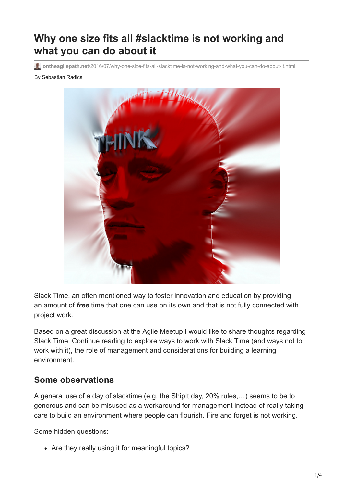## **Why one size fits all #slacktime is not working and what you can do about it**

**ontheagilepath.net**[/2016/07/why-one-size-fits-all-slacktime-is-not-working-and-what-you-can-do-about-it.html](https://www.ontheagilepath.net/2016/07/why-one-size-fits-all-slacktime-is-not-working-and-what-you-can-do-about-it.html)

#### By Sebastian Radics



Slack Time, an often mentioned way to foster innovation and education by providing an amount of *free* time that one can use on its own and that is not fully connected with project work.

Based on a great discussion at the Agile Meetup I would like to share thoughts regarding Slack Time. Continue reading to explore ways to work with Slack Time (and ways not to work with it), the role of management and considerations for building a learning environment.

#### **Some observations**

A general use of a day of slacktime (e.g. the ShipIt day, 20% rules,…) seems to be to generous and can be misused as a workaround for management instead of really taking care to build an environment where people can flourish. Fire and forget is not working.

Some hidden questions:

• Are they really using it for meaningful topics?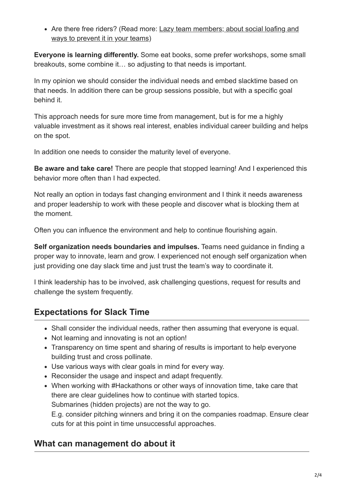[Are there free riders? \(Read more: Lazy team members; about social loafing and](http://www.ontheagilepath.net/2016/01/lazy-team-members-about-social-loafing-and-ways-to-prevent-it-in-your-teams.html) ways to prevent it in your teams)

**Everyone is learning differently.** Some eat books, some prefer workshops, some small breakouts, some combine it… so adjusting to that needs is important.

In my opinion we should consider the individual needs and embed slacktime based on that needs. In addition there can be group sessions possible, but with a specific goal behind it.

This approach needs for sure more time from management, but is for me a highly valuable investment as it shows real interest, enables individual career building and helps on the spot.

In addition one needs to consider the maturity level of everyone.

**Be aware and take care!** There are people that stopped learning! And I experienced this behavior more often than I had expected.

Not really an option in todays fast changing environment and I think it needs awareness and proper leadership to work with these people and discover what is blocking them at the moment.

Often you can influence the environment and help to continue flourishing again.

**Self organization needs boundaries and impulses.** Teams need guidance in finding a proper way to innovate, learn and grow. I experienced not enough self organization when just providing one day slack time and just trust the team's way to coordinate it.

I think leadership has to be involved, ask challenging questions, request for results and challenge the system frequently.

#### **Expectations for Slack Time**

- Shall consider the individual needs, rather then assuming that everyone is equal.
- Not learning and innovating is not an option!
- Transparency on time spent and sharing of results is important to help everyone building trust and cross pollinate.
- Use various ways with clear goals in mind for every way.
- Reconsider the usage and inspect and adapt frequently.
- When working with #Hackathons or other ways of innovation time, take care that there are clear guidelines how to continue with started topics. Submarines (hidden projects) are not the way to go.

E.g. consider pitching winners and bring it on the companies roadmap. Ensure clear cuts for at this point in time unsuccessful approaches.

### **What can management do about it**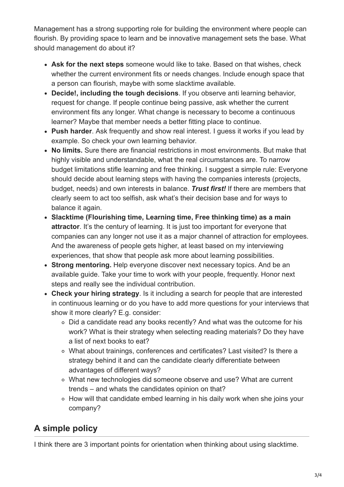Management has a strong supporting role for building the environment where people can flourish. By providing space to learn and be innovative management sets the base. What should management do about it?

- **Ask for the next steps** someone would like to take. Based on that wishes, check whether the current environment fits or needs changes. Include enough space that a person can flourish, maybe with some slacktime available.
- **Decide!, including the tough decisions**. If you observe anti learning behavior, request for change. If people continue being passive, ask whether the current environment fits any longer. What change is necessary to become a continuous learner? Maybe that member needs a better fitting place to continue.
- **Push harder**. Ask frequently and show real interest. I guess it works if you lead by example. So check your own learning behavior.
- **No limits.** Sure there are financial restrictions in most environments. But make that highly visible and understandable, what the real circumstances are. To narrow budget limitations stifle learning and free thinking. I suggest a simple rule: Everyone should decide about learning steps with having the companies interests (projects, budget, needs) and own interests in balance. *Trust first!* If there are members that clearly seem to act too selfish, ask what's their decision base and for ways to balance it again.
- **Slacktime (Flourishing time, Learning time, Free thinking time) as a main attractor**. It's the century of learning. It is just too important for everyone that companies can any longer not use it as a major channel of attraction for employees. And the awareness of people gets higher, at least based on my interviewing experiences, that show that people ask more about learning possibilities.
- **Strong mentoring.** Help everyone discover next necessary topics. And be an available guide. Take your time to work with your people, frequently. Honor next steps and really see the individual contribution.
- **Check your hiring strategy**. Is it including a search for people that are interested in continuous learning or do you have to add more questions for your interviews that show it more clearly? E.g. consider:
	- Did a candidate read any books recently? And what was the outcome for his work? What is their strategy when selecting reading materials? Do they have a list of next books to eat?
	- What about trainings, conferences and certificates? Last visited? Is there a strategy behind it and can the candidate clearly differentiate between advantages of different ways?
	- What new technologies did someone observe and use? What are current trends – and whats the candidates opinion on that?
	- How will that candidate embed learning in his daily work when she joins your company?

# **A simple policy**

I think there are 3 important points for orientation when thinking about using slacktime.